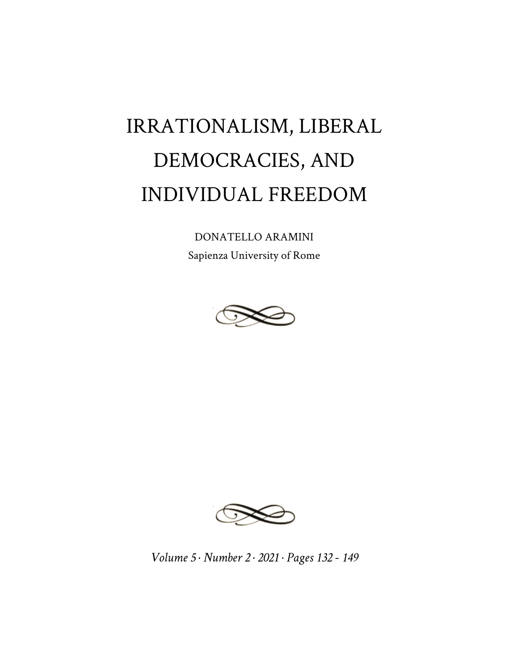## IRRATIONALISM, LIBERAL DEMOCRACIES, AND INDIVIDUAL FREEDOM

DONATELLO ARAMINI Sapienza University of Rome





*Volume 5 · Number 2 · 2021 · Pages 132 - 149*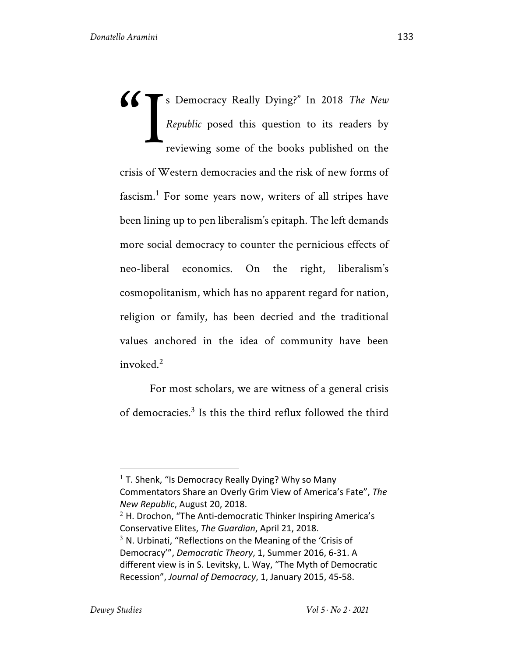s Democracy Really Dying?" In 2018 *The New Republic* posed this question to its readers by reviewing some of the books published on the crisis of Western democracies and the risk of new forms of fascism.<sup>1</sup> For some years now, writers of all stripes have been lining up to pen liberalism's epitaph. The left demands more social democracy to counter the pernicious effects of neo-liberal economics. On the right, liberalism's cosmopolitanism, which has no apparent regard for nation, religion or family, has been decried and the traditional values anchored in the idea of community have been invoked.<sup>2</sup> "I

For most scholars, we are witness of a general crisis of democracies.3 Is this the third reflux followed the third

 $1$  T. Shenk, "Is Democracy Really Dying? Why so Many Commentators Share an Overly Grim View of America's Fate", *The New Republic*, August 20, 2018.

 $2$  H. Drochon, "The Anti-democratic Thinker Inspiring America's Conservative Elites, *The Guardian*, April 21, 2018.

 $3$  N. Urbinati, "Reflections on the Meaning of the 'Crisis of Democracy'", *Democratic Theory*, 1, Summer 2016, 6-31. A different view is in S. Levitsky, L. Way, "The Myth of Democratic Recession", *Journal of Democracy*, 1, January 2015, 45-58.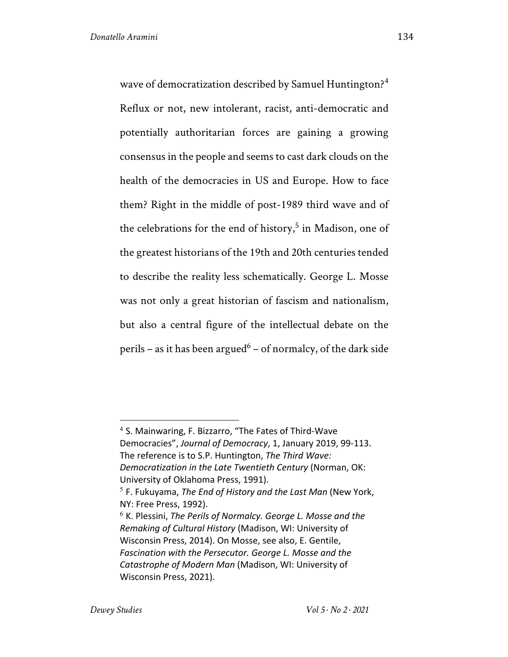wave of democratization described by Samuel Huntington?<sup>4</sup> Reflux or not, new intolerant, racist, anti-democratic and potentially authoritarian forces are gaining a growing consensus in the people and seems to cast dark clouds on the health of the democracies in US and Europe. How to face them? Right in the middle of post-1989 third wave and of the celebrations for the end of history,<sup>5</sup> in Madison, one of the greatest historians of the 19th and 20th centuries tended to describe the reality less schematically. George L. Mosse was not only a great historian of fascism and nationalism, but also a central figure of the intellectual debate on the perils – as it has been argued<sup>6</sup> – of normalcy, of the dark side

<sup>4</sup> S. Mainwaring, F. Bizzarro, "The Fates of Third-Wave Democracies", *Journal of Democracy*, 1, January 2019, 99-113. The reference is to S.P. Huntington, *The Third Wave: Democratization in the Late Twentieth Century* (Norman, OK: University of Oklahoma Press, 1991).

<sup>5</sup> F. Fukuyama, *The End of History and the Last Man* (New York, NY: Free Press, 1992).

<sup>6</sup> K. Plessini, *The Perils of Normalcy. George L. Mosse and the Remaking of Cultural History* (Madison, WI: University of Wisconsin Press, 2014). On Mosse, see also, E. Gentile, *Fascination with the Persecutor. George L. Mosse and the Catastrophe of Modern Man* (Madison, WI: University of Wisconsin Press, 2021).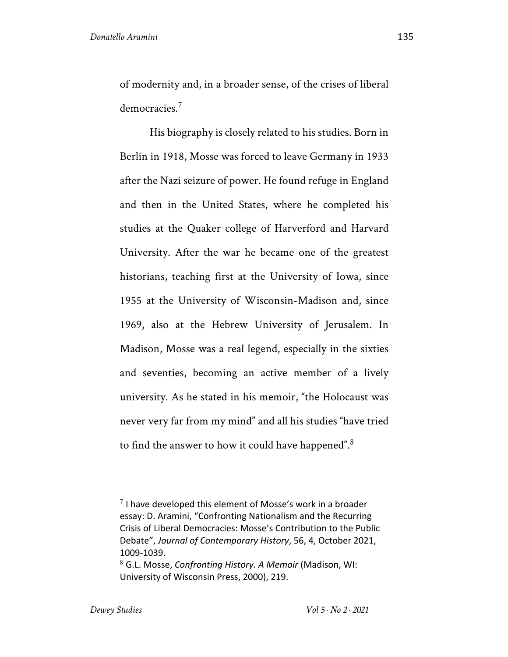of modernity and, in a broader sense, of the crises of liberal democracies.<sup>7</sup>

His biography is closely related to his studies. Born in Berlin in 1918, Mosse was forced to leave Germany in 1933 after the Nazi seizure of power. He found refuge in England and then in the United States, where he completed his studies at the Quaker college of Harverford and Harvard University. After the war he became one of the greatest historians, teaching first at the University of Iowa, since 1955 at the University of Wisconsin-Madison and, since 1969, also at the Hebrew University of Jerusalem. In Madison, Mosse was a real legend, especially in the sixties and seventies, becoming an active member of a lively university. As he stated in his memoir, "the Holocaust was never very far from my mind" and all his studies "have tried to find the answer to how it could have happened".<sup>8</sup>

 $7$  I have developed this element of Mosse's work in a broader essay: D. Aramini, "Confronting Nationalism and the Recurring Crisis of Liberal Democracies: Mosse's Contribution to the Public Debate", *Journal of Contemporary History*, 56, 4, October 2021, 1009-1039.

<sup>8</sup> G.L. Mosse, *Confronting History. A Memoir* (Madison, WI: University of Wisconsin Press, 2000), 219.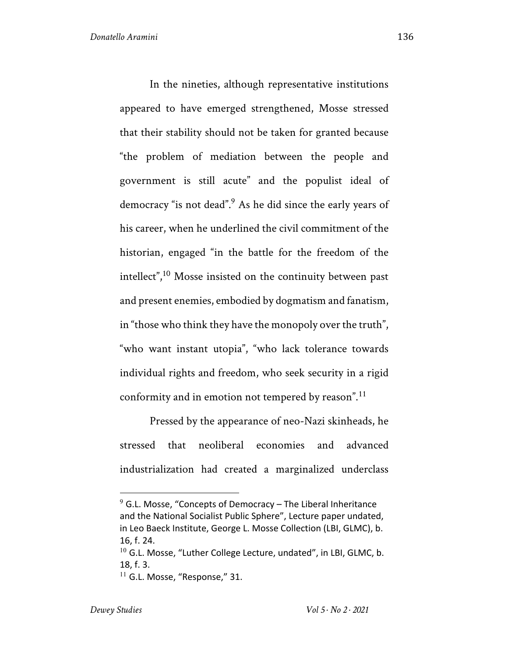In the nineties, although representative institutions appeared to have emerged strengthened, Mosse stressed that their stability should not be taken for granted because "the problem of mediation between the people and government is still acute" and the populist ideal of democracy "is not dead".9 As he did since the early years of his career, when he underlined the civil commitment of the historian, engaged "in the battle for the freedom of the intellect",<sup>10</sup> Mosse insisted on the continuity between past and present enemies, embodied by dogmatism and fanatism, in "those who think they have the monopoly over the truth", "who want instant utopia", "who lack tolerance towards individual rights and freedom, who seek security in a rigid conformity and in emotion not tempered by reason".<sup>11</sup>

Pressed by the appearance of neo-Nazi skinheads, he stressed that neoliberal economies and advanced industrialization had created a marginalized underclass

 $9$  G.L. Mosse, "Concepts of Democracy – The Liberal Inheritance and the National Socialist Public Sphere", Lecture paper undated, in Leo Baeck Institute, George L. Mosse Collection (LBI, GLMC), b. 16, f. 24.

 $10$  G.L. Mosse, "Luther College Lecture, undated", in LBI, GLMC, b. 18, f. 3.

 $11$  G.L. Mosse, "Response," 31.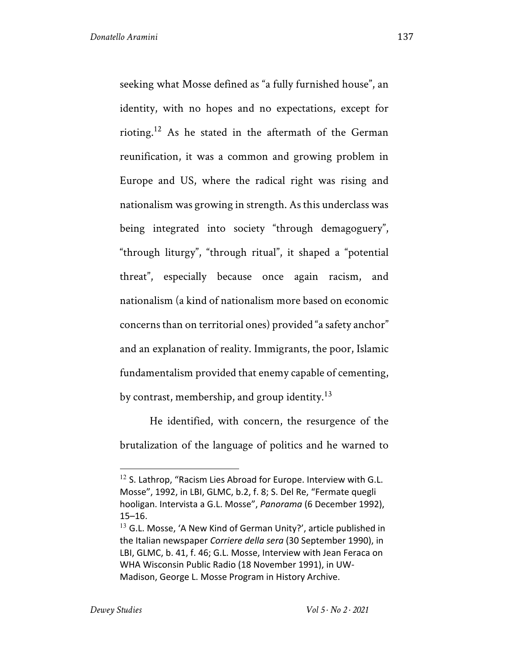identity, with no hopes and no expectations, except for rioting.<sup>12</sup> As he stated in the aftermath of the German reunification, it was a common and growing problem in Europe and US, where the radical right was rising and nationalism was growing in strength. As this underclass was being integrated into society "through demagoguery", "through liturgy", "through ritual", it shaped a "potential threat", especially because once again racism, and nationalism (a kind of nationalism more based on economic concerns than on territorial ones) provided "a safety anchor" and an explanation of reality. Immigrants, the poor, Islamic fundamentalism provided that enemy capable of cementing, by contrast, membership, and group identity.<sup>13</sup>

He identified, with concern, the resurgence of the brutalization of the language of politics and he warned to

 $12$  S. Lathrop, "Racism Lies Abroad for Europe. Interview with G.L. Mosse", 1992, in LBI, GLMC, b.2, f. 8; S. Del Re, "Fermate quegli hooligan. Intervista a G.L. Mosse", *Panorama* (6 December 1992), 15–16.

 $13$  G.L. Mosse, 'A New Kind of German Unity?', article published in the Italian newspaper *Corriere della sera* (30 September 1990), in LBI, GLMC, b. 41, f. 46; G.L. Mosse, Interview with Jean Feraca on WHA Wisconsin Public Radio (18 November 1991), in UW-Madison, George L. Mosse Program in History Archive.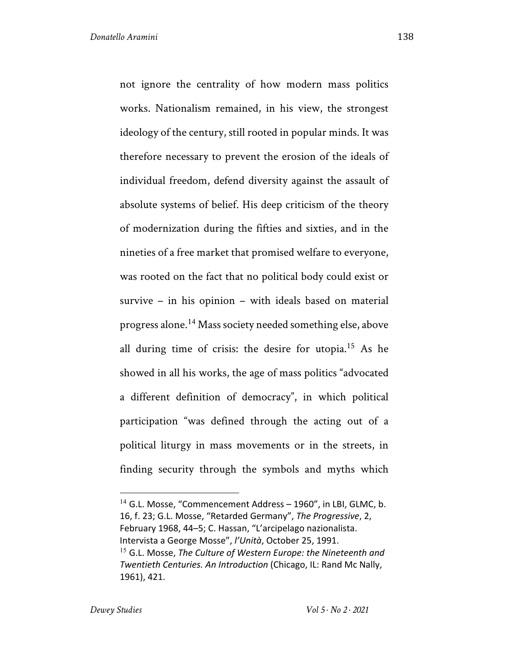not ignore the centrality of how modern mass politics works. Nationalism remained, in his view, the strongest ideology of the century, still rooted in popular minds. It was therefore necessary to prevent the erosion of the ideals of individual freedom, defend diversity against the assault of absolute systems of belief. His deep criticism of the theory of modernization during the fifties and sixties, and in the nineties of a free market that promised welfare to everyone, was rooted on the fact that no political body could exist or survive – in his opinion – with ideals based on material progress alone.<sup>14</sup> Mass society needed something else, above all during time of crisis: the desire for utopia.15 As he showed in all his works, the age of mass politics "advocated a different definition of democracy", in which political participation "was defined through the acting out of a political liturgy in mass movements or in the streets, in finding security through the symbols and myths which

 $14$  G.L. Mosse, "Commencement Address – 1960", in LBI, GLMC, b. 16, f. 23; G.L. Mosse, "Retarded Germany", *The Progressive*, 2, February 1968, 44–5; C. Hassan, "L'arcipelago nazionalista. Intervista a George Mosse", *l'Unità*, October 25, 1991. <sup>15</sup> G.L. Mosse, *The Culture of Western Europe: the Nineteenth and Twentieth Centuries. An Introduction* (Chicago, IL: Rand Mc Nally, 1961), 421.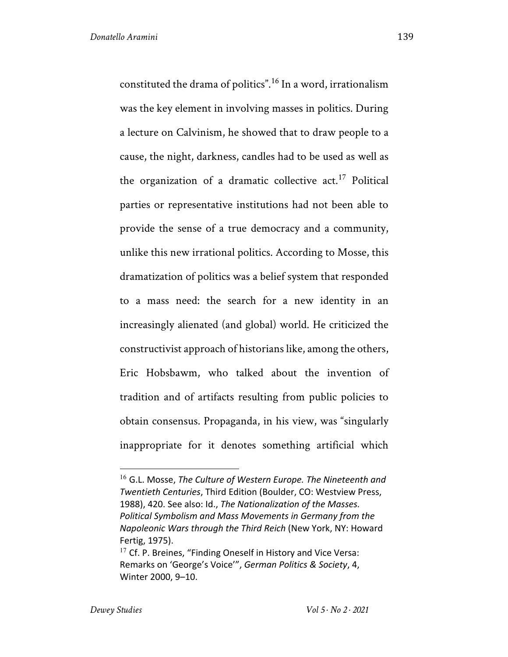constituted the drama of politics".<sup>16</sup> In a word, irrationalism was the key element in involving masses in politics. During a lecture on Calvinism, he showed that to draw people to a cause, the night, darkness, candles had to be used as well as the organization of a dramatic collective  $act<sup>17</sup>$  Political parties or representative institutions had not been able to provide the sense of a true democracy and a community, unlike this new irrational politics. According to Mosse, this dramatization of politics was a belief system that responded to a mass need: the search for a new identity in an increasingly alienated (and global) world. He criticized the constructivist approach of historians like, among the others, Eric Hobsbawm, who talked about the invention of tradition and of artifacts resulting from public policies to obtain consensus. Propaganda, in his view, was "singularly inappropriate for it denotes something artificial which

<sup>16</sup> G.L. Mosse, *The Culture of Western Europe. The Nineteenth and Twentieth Centuries*, Third Edition (Boulder, CO: Westview Press, 1988), 420. See also: Id., *The Nationalization of the Masses. Political Symbolism and Mass Movements in Germany from the Napoleonic Wars through the Third Reich* (New York, NY: Howard Fertig, 1975).

 $17$  Cf. P. Breines, "Finding Oneself in History and Vice Versa: Remarks on 'George's Voice'", *German Politics & Society*, 4, Winter 2000, 9–10.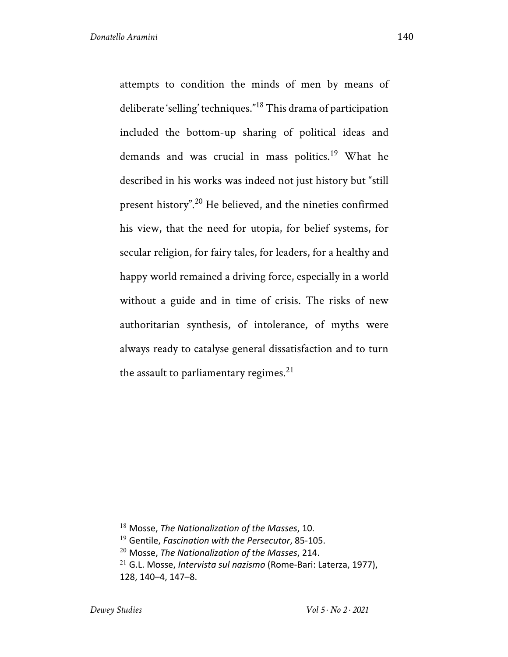attempts to condition the minds of men by means of deliberate 'selling' techniques." <sup>18</sup> This drama of participation included the bottom-up sharing of political ideas and demands and was crucial in mass politics.<sup>19</sup> What he described in his works was indeed not just history but "still present history".20 He believed, and the nineties confirmed his view, that the need for utopia, for belief systems, for secular religion, for fairy tales, for leaders, for a healthy and happy world remained a driving force, especially in a world without a guide and in time of crisis. The risks of new authoritarian synthesis, of intolerance, of myths were always ready to catalyse general dissatisfaction and to turn the assault to parliamentary regimes. $21$ 

<sup>18</sup> Mosse, *The Nationalization of the Masses*, 10.

<sup>19</sup> Gentile, *Fascination with the Persecutor*, 85-105.

<sup>20</sup> Mosse, *The Nationalization of the Masses*, 214.

<sup>21</sup> G.L. Mosse, *Intervista sul nazismo* (Rome-Bari: Laterza, 1977), 128, 140–4, 147–8.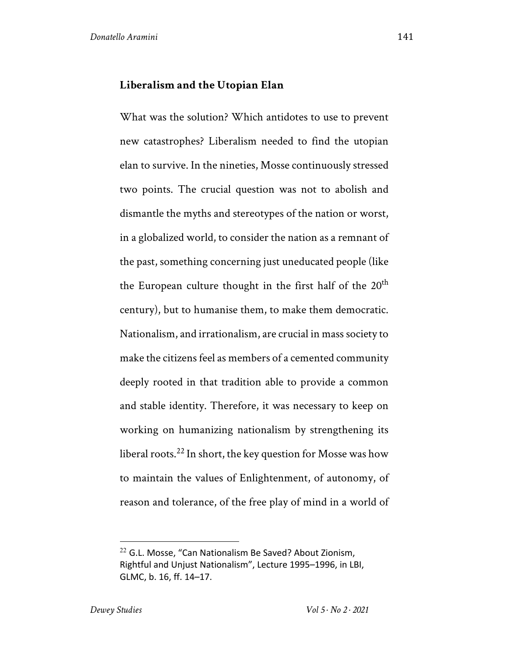## **Liberalism and the Utopian Elan**

What was the solution? Which antidotes to use to prevent new catastrophes? Liberalism needed to find the utopian elan to survive. In the nineties, Mosse continuously stressed two points. The crucial question was not to abolish and dismantle the myths and stereotypes of the nation or worst, in a globalized world, to consider the nation as a remnant of the past, something concerning just uneducated people (like the European culture thought in the first half of the  $20<sup>th</sup>$ century), but to humanise them, to make them democratic. Nationalism, and irrationalism, are crucial in mass society to make the citizens feel as members of a cemented community deeply rooted in that tradition able to provide a common and stable identity. Therefore, it was necessary to keep on working on humanizing nationalism by strengthening its liberal roots.<sup>22</sup> In short, the key question for Mosse was how to maintain the values of Enlightenment, of autonomy, of reason and tolerance, of the free play of mind in a world of

 $22$  G.L. Mosse, "Can Nationalism Be Saved? About Zionism, Rightful and Unjust Nationalism", Lecture 1995–1996, in LBI, GLMC, b. 16, ff. 14–17.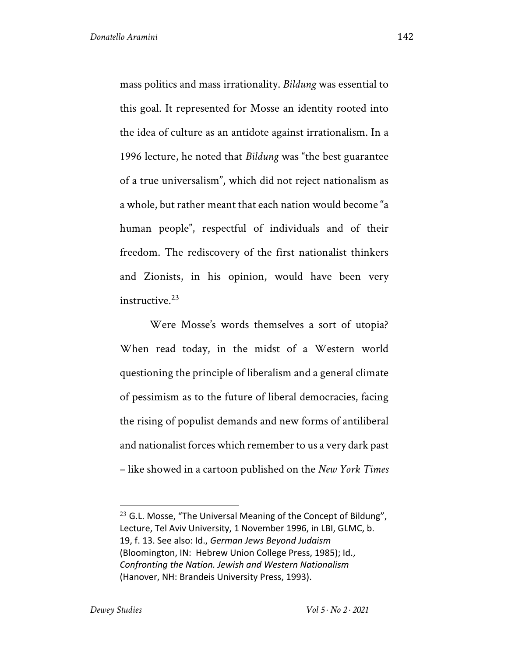mass politics and mass irrationality. *Bildung* was essential to this goal. It represented for Mosse an identity rooted into the idea of culture as an antidote against irrationalism. In a 1996 lecture, he noted that *Bildung* was "the best guarantee of a true universalism", which did not reject nationalism as a whole, but rather meant that each nation would become "a human people", respectful of individuals and of their freedom. The rediscovery of the first nationalist thinkers and Zionists, in his opinion, would have been very instructive. $23$ 

Were Mosse's words themselves a sort of utopia? When read today, in the midst of a Western world questioning the principle of liberalism and a general climate of pessimism as to the future of liberal democracies, facing the rising of populist demands and new forms of antiliberal and nationalist forces which remember to us a very dark past – like showed in a cartoon published on the *New York Times*

 $23$  G.L. Mosse, "The Universal Meaning of the Concept of Bildung", Lecture, Tel Aviv University, 1 November 1996, in LBI, GLMC, b. 19, f. 13. See also: Id., *German Jews Beyond Judaism* (Bloomington, IN: Hebrew Union College Press, 1985); Id., *Confronting the Nation. Jewish and Western Nationalism* (Hanover, NH: Brandeis University Press, 1993).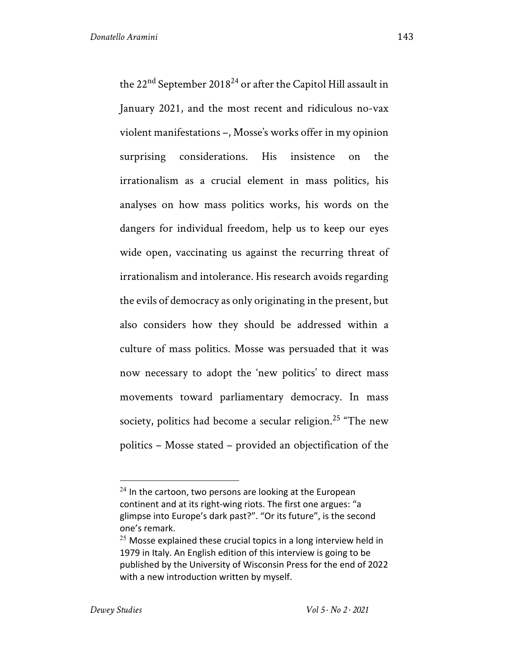the 22<sup>nd</sup> September 2018<sup>24</sup> or after the Capitol Hill assault in January 2021, and the most recent and ridiculous no-vax violent manifestations –, Mosse's works offer in my opinion surprising considerations. His insistence on the irrationalism as a crucial element in mass politics, his analyses on how mass politics works, his words on the dangers for individual freedom, help us to keep our eyes wide open, vaccinating us against the recurring threat of irrationalism and intolerance. His research avoids regarding the evils of democracy as only originating in the present, but also considers how they should be addressed within a culture of mass politics. Mosse was persuaded that it was now necessary to adopt the 'new politics' to direct mass movements toward parliamentary democracy. In mass society, politics had become a secular religion.<sup>25</sup> "The new politics – Mosse stated – provided an objectification of the

 $24$  In the cartoon, two persons are looking at the European continent and at its right-wing riots. The first one argues: "a glimpse into Europe's dark past?". "Or its future", is the second one's remark.

 $25$  Mosse explained these crucial topics in a long interview held in 1979 in Italy. An English edition of this interview is going to be published by the University of Wisconsin Press for the end of 2022 with a new introduction written by myself.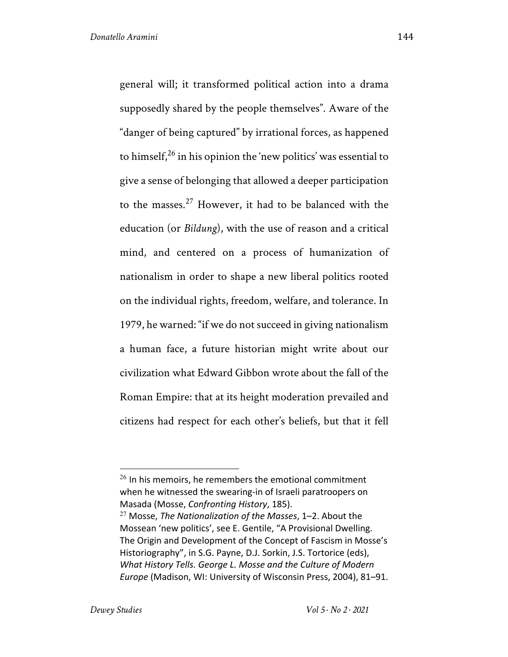general will; it transformed political action into a drama supposedly shared by the people themselves". Aware of the "danger of being captured" by irrational forces, as happened to himself, $^{26}$  in his opinion the 'new politics' was essential to give a sense of belonging that allowed a deeper participation to the masses.<sup>27</sup> However, it had to be balanced with the education (or *Bildung*), with the use of reason and a critical mind, and centered on a process of humanization of nationalism in order to shape a new liberal politics rooted on the individual rights, freedom, welfare, and tolerance. In 1979, he warned: "if we do not succeed in giving nationalism a human face, a future historian might write about our civilization what Edward Gibbon wrote about the fall of the Roman Empire: that at its height moderation prevailed and citizens had respect for each other's beliefs, but that it fell

 $26$  In his memoirs, he remembers the emotional commitment when he witnessed the swearing-in of Israeli paratroopers on Masada (Mosse, *Confronting History*, 185).

<sup>27</sup> Mosse, *The Nationalization of the Masses*, 1–2. About the Mossean 'new politics', see E. Gentile, "A Provisional Dwelling. The Origin and Development of the Concept of Fascism in Mosse's Historiography", in S.G. Payne, D.J. Sorkin, J.S. Tortorice (eds), *What History Tells. George L. Mosse and the Culture of Modern Europe* (Madison, WI: University of Wisconsin Press, 2004), 81–91.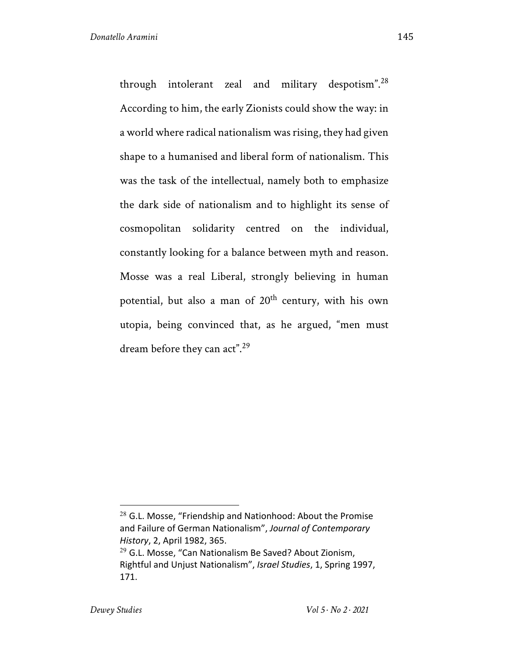through intolerant zeal and military despotism".28 According to him, the early Zionists could show the way: in a world where radical nationalism was rising, they had given shape to a humanised and liberal form of nationalism. This was the task of the intellectual, namely both to emphasize the dark side of nationalism and to highlight its sense of cosmopolitan solidarity centred on the individual, constantly looking for a balance between myth and reason. Mosse was a real Liberal, strongly believing in human potential, but also a man of  $20<sup>th</sup>$  century, with his own utopia, being convinced that, as he argued, "men must dream before they can act".<sup>29</sup>

 $28$  G.L. Mosse, "Friendship and Nationhood: About the Promise and Failure of German Nationalism", *Journal of Contemporary History*, 2, April 1982, 365.

 $29$  G.L. Mosse, "Can Nationalism Be Saved? About Zionism, Rightful and Unjust Nationalism", *Israel Studies*, 1, Spring 1997, 171.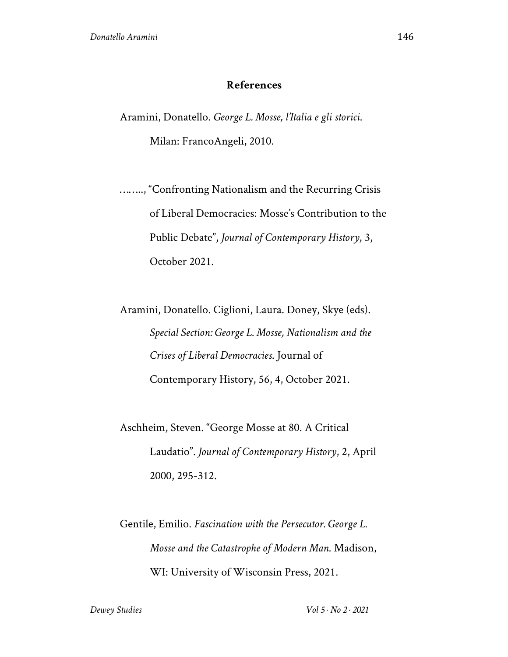## **References**

Aramini, Donatello. *George L. Mosse, l'Italia e gli storici*.

Milan: FrancoAngeli, 2010.

…….., "Confronting Nationalism and the Recurring Crisis of Liberal Democracies: Mosse's Contribution to the Public Debate", *Journal of Contemporary History*, 3, October 2021.

Aramini, Donatello. Ciglioni, Laura. Doney, Skye (eds). *Special Section: George L. Mosse, Nationalism and the Crises of Liberal Democracies*. Journal of Contemporary History, 56, 4, October 2021.

Aschheim, Steven. "George Mosse at 80. A Critical Laudatio". *Journal of Contemporary History*, 2, April 2000, 295-312.

Gentile, Emilio. *Fascination with the Persecutor. George L. Mosse and the Catastrophe of Modern Man*. Madison, WI: University of Wisconsin Press, 2021.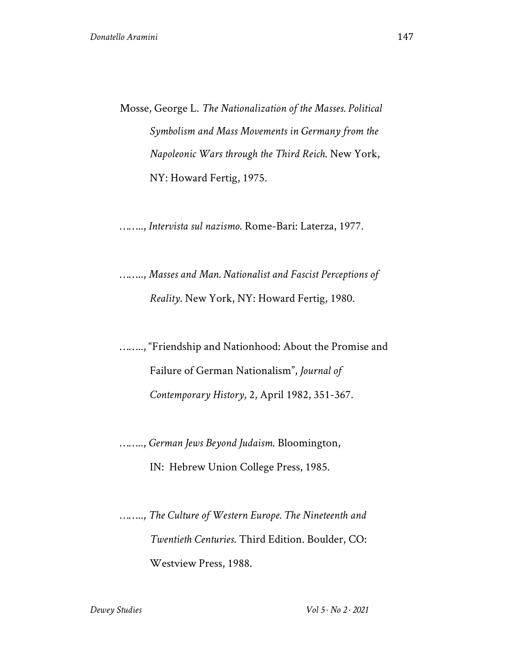Mosse, George L. *The Nationalization of the Masses. Political Symbolism and Mass Movements in Germany from the Napoleonic Wars through the Third Reich*. New York, NY: Howard Fertig, 1975.

…….., *Intervista sul nazismo*. Rome-Bari: Laterza, 1977.

…….., *Masses and Man. Nationalist and Fascist Perceptions of Reality*. New York, NY: Howard Fertig, 1980.

…….., "Friendship and Nationhood: About the Promise and Failure of German Nationalism", *Journal of Contemporary History*, 2, April 1982, 351-367.

…….., *German Jews Beyond Judaism*. Bloomington, IN: Hebrew Union College Press, 1985.

…….., *The Culture of Western Europe. The Nineteenth and Twentieth Centuries*. Third Edition. Boulder, CO: Westview Press, 1988.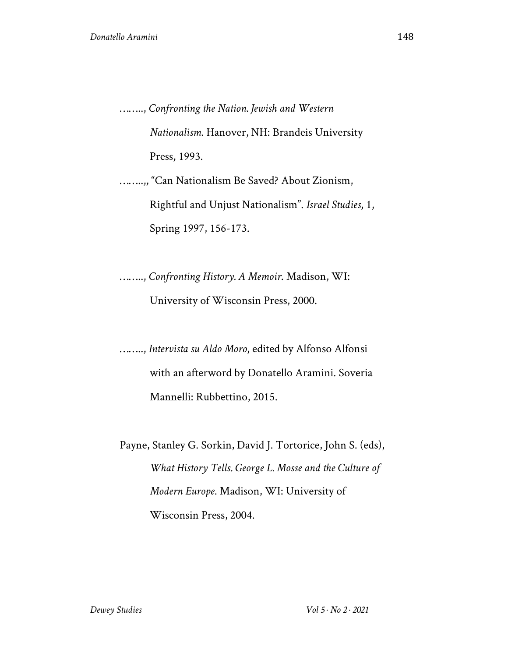…….., *Confronting the Nation. Jewish and Western Nationalism*. Hanover, NH: Brandeis University Press, 1993.

……..,, "Can Nationalism Be Saved? About Zionism, Rightful and Unjust Nationalism". *Israel Studies*, 1, Spring 1997, 156-173.

…….., *Confronting History. A Memoir*. Madison, WI: University of Wisconsin Press, 2000.

…….., *Intervista su Aldo Moro*, edited by Alfonso Alfonsi with an afterword by Donatello Aramini. Soveria Mannelli: Rubbettino, 2015.

Payne, Stanley G. Sorkin, David J. Tortorice, John S. (eds), *What History Tells. George L. Mosse and the Culture of Modern Europe*. Madison, WI: University of Wisconsin Press, 2004.